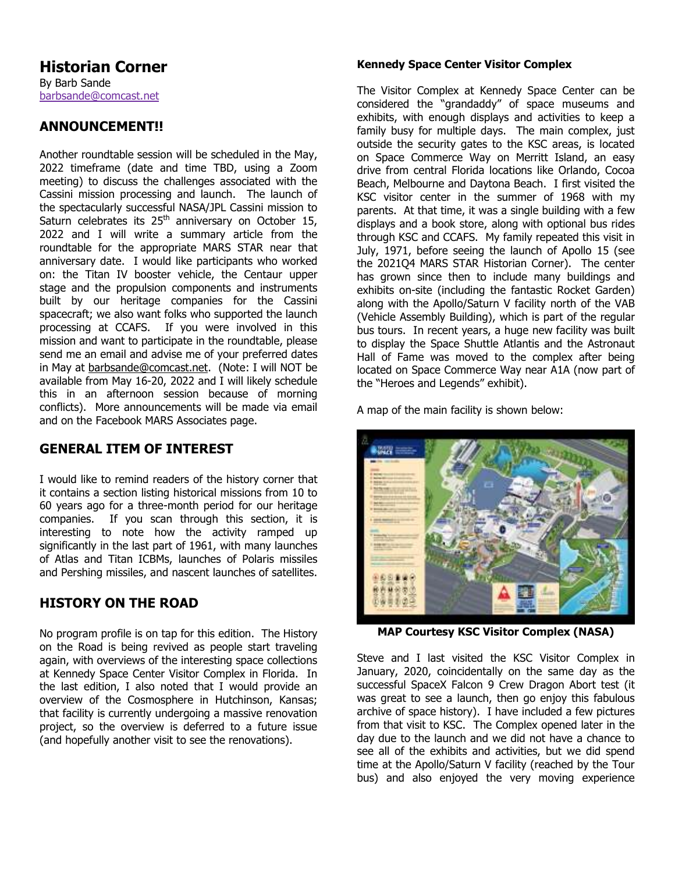## **ANNOUNCEMENT!!**

Another roundtable session will be scheduled in the May, 2022 timeframe (date and time TBD, using a Zoom meeting) to discuss the challenges associated with the Cassini mission processing and launch. The launch of the spectacularly successful NASA/JPL Cassini mission to Saturn celebrates its 25th anniversary on October 15, 2022 and I will write a summary article from the roundtable for the appropriate MARS STAR near that anniversary date. I would like participants who worked on: the Titan IV booster vehicle, the Centaur upper stage and the propulsion components and instruments built by our heritage companies for the Cassini spacecraft; we also want folks who supported the launch processing at CCAFS. If you were involved in this mission and want to participate in the roundtable, please send me an email and advise me of your preferred dates in May at barbsande@comcast.net. (Note: I will NOT be available from May 16-20, 2022 and I will likely schedule this in an afternoon session because of morning conflicts). More announcements will be made via email and on the Facebook MARS Associates page.

## **GENERAL ITEM OF INTEREST**

I would like to remind readers of the history corner that it contains a section listing historical missions from 10 to 60 years ago for a three-month period for our heritage companies. If you scan through this section, it is interesting to note how the activity ramped up significantly in the last part of 1961, with many launches of Atlas and Titan ICBMs, launches of Polaris missiles and Pershing missiles, and nascent launches of satellites.

## **HISTORY ON THE ROAD**

No program profile is on tap for this edition. The History on the Road is being revived as people start traveling again, with overviews of the interesting space collections at Kennedy Space Center Visitor Complex in Florida. In the last edition, I also noted that I would provide an overview of the Cosmosphere in Hutchinson, Kansas; that facility is currently undergoing a massive renovation project, so the overview is deferred to a future issue (and hopefully another visit to see the renovations).

### **Kennedy Space Center Visitor Complex**

The Visitor Complex at Kennedy Space Center can be considered the "grandaddy" of space museums and exhibits, with enough displays and activities to keep a family busy for multiple days. The main complex, just outside the security gates to the KSC areas, is located on Space Commerce Way on Merritt Island, an easy drive from central Florida locations like Orlando, Cocoa Beach, Melbourne and Daytona Beach. I first visited the KSC visitor center in the summer of 1968 with my parents. At that time, it was a single building with a few displays and a book store, along with optional bus rides through KSC and CCAFS. My family repeated this visit in July, 1971, before seeing the launch of Apollo 15 (see the 2021Q4 MARS STAR Historian Corner). The center has grown since then to include many buildings and exhibits on-site (including the fantastic Rocket Garden) along with the Apollo/Saturn V facility north of the VAB (Vehicle Assembly Building), which is part of the regular bus tours. In recent years, a huge new facility was built to display the Space Shuttle Atlantis and the Astronaut Hall of Fame was moved to the complex after being located on Space Commerce Way near A1A (now part of the "Heroes and Legends" exhibit).

A map of the main facility is shown below:



**MAP Courtesy KSC Visitor Complex (NASA)** 

Steve and I last visited the KSC Visitor Complex in January, 2020, coincidentally on the same day as the successful SpaceX Falcon 9 Crew Dragon Abort test (it was great to see a launch, then go enjoy this fabulous archive of space history). I have included a few pictures from that visit to KSC. The Complex opened later in the day due to the launch and we did not have a chance to see all of the exhibits and activities, but we did spend time at the Apollo/Saturn V facility (reached by the Tour bus) and also enjoyed the very moving experience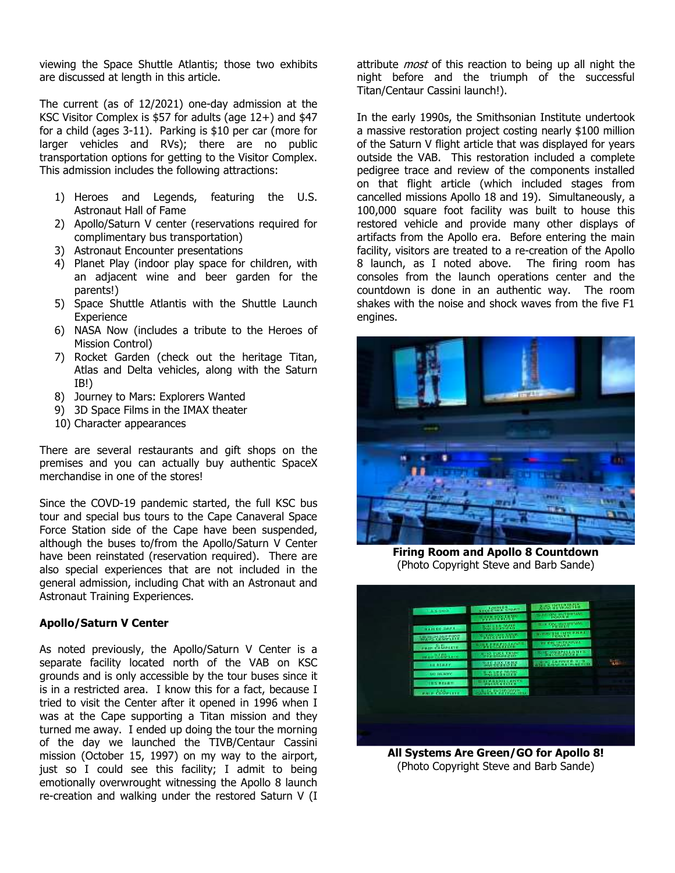viewing the Space Shuttle Atlantis; those two exhibits are discussed at length in this article.

The current (as of 12/2021) one-day admission at the KSC Visitor Complex is \$57 for adults (age 12+) and \$47 for a child (ages 3-11). Parking is \$10 per car (more for larger vehicles and RVs); there are no public transportation options for getting to the Visitor Complex. This admission includes the following attractions:

- 1) Heroes and Legends, featuring the U.S. Astronaut Hall of Fame
- 2) Apollo/Saturn V center (reservations required for complimentary bus transportation)
- 3) Astronaut Encounter presentations
- 4) Planet Play (indoor play space for children, with an adjacent wine and beer garden for the parents!)
- 5) Space Shuttle Atlantis with the Shuttle Launch **Experience**
- 6) NASA Now (includes a tribute to the Heroes of Mission Control)
- 7) Rocket Garden (check out the heritage Titan, Atlas and Delta vehicles, along with the Saturn IB!)
- 8) Journey to Mars: Explorers Wanted
- 9) 3D Space Films in the IMAX theater
- 10) Character appearances

There are several restaurants and gift shops on the premises and you can actually buy authentic SpaceX merchandise in one of the stores!

Since the COVD-19 pandemic started, the full KSC bus tour and special bus tours to the Cape Canaveral Space Force Station side of the Cape have been suspended, although the buses to/from the Apollo/Saturn V Center have been reinstated (reservation required). There are also special experiences that are not included in the general admission, including Chat with an Astronaut and Astronaut Training Experiences.

### **Apollo/Saturn V Center**

As noted previously, the Apollo/Saturn V Center is a separate facility located north of the VAB on KSC grounds and is only accessible by the tour buses since it is in a restricted area. I know this for a fact, because I tried to visit the Center after it opened in 1996 when I was at the Cape supporting a Titan mission and they turned me away. I ended up doing the tour the morning of the day we launched the TIVB/Centaur Cassini mission (October 15, 1997) on my way to the airport, just so I could see this facility; I admit to being emotionally overwrought witnessing the Apollo 8 launch re-creation and walking under the restored Saturn V (I

attribute *most* of this reaction to being up all night the night before and the triumph of the successful Titan/Centaur Cassini launch!).

In the early 1990s, the Smithsonian Institute undertook a massive restoration project costing nearly \$100 million of the Saturn V flight article that was displayed for years outside the VAB. This restoration included a complete pedigree trace and review of the components installed on that flight article (which included stages from cancelled missions Apollo 18 and 19). Simultaneously, a 100,000 square foot facility was built to house this restored vehicle and provide many other displays of artifacts from the Apollo era. Before entering the main facility, visitors are treated to a re-creation of the Apollo 8 launch, as I noted above. The firing room has consoles from the launch operations center and the countdown is done in an authentic way. The room shakes with the noise and shock waves from the five F1 engines.



**Firing Room and Apollo 8 Countdown**  (Photo Copyright Steve and Barb Sande)



(Photo Copyright Steve and Barb Sande)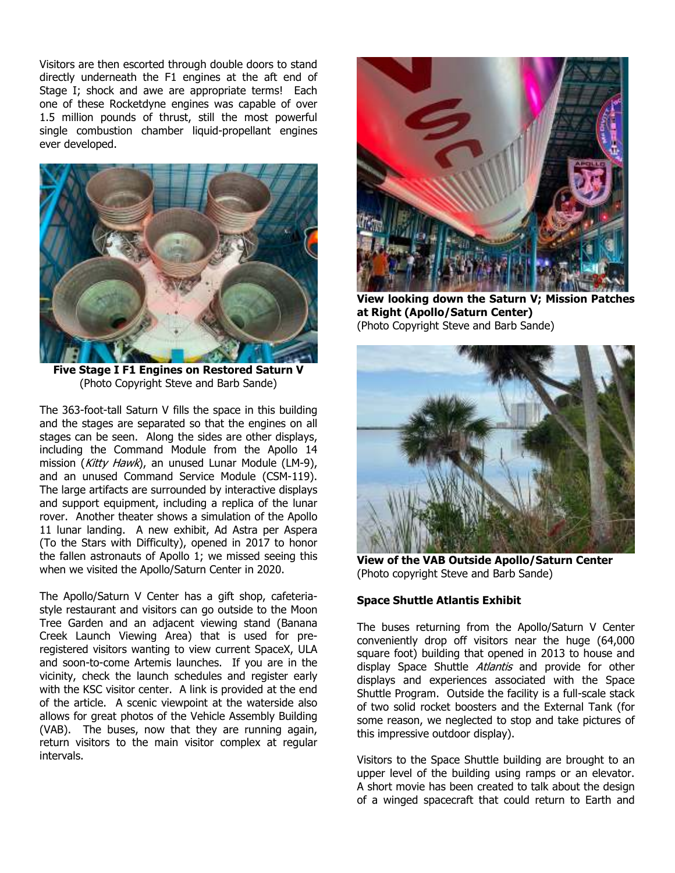Visitors are then escorted through double doors to stand directly underneath the F1 engines at the aft end of Stage I; shock and awe are appropriate terms! Each one of these Rocketdyne engines was capable of over 1.5 million pounds of thrust, still the most powerful single combustion chamber liquid-propellant engines ever developed.



**Five Stage I F1 Engines on Restored Saturn V**  (Photo Copyright Steve and Barb Sande)

The 363-foot-tall Saturn V fills the space in this building and the stages are separated so that the engines on all stages can be seen. Along the sides are other displays, including the Command Module from the Apollo 14 mission (Kitty Hawk), an unused Lunar Module (LM-9), and an unused Command Service Module (CSM-119). The large artifacts are surrounded by interactive displays and support equipment, including a replica of the lunar rover. Another theater shows a simulation of the Apollo 11 lunar landing. A new exhibit, Ad Astra per Aspera (To the Stars with Difficulty), opened in 2017 to honor the fallen astronauts of Apollo 1; we missed seeing this when we visited the Apollo/Saturn Center in 2020.

The Apollo/Saturn V Center has a gift shop, cafeteriastyle restaurant and visitors can go outside to the Moon Tree Garden and an adjacent viewing stand (Banana Creek Launch Viewing Area) that is used for preregistered visitors wanting to view current SpaceX, ULA and soon-to-come Artemis launches. If you are in the vicinity, check the launch schedules and register early with the KSC visitor center. A link is provided at the end of the article. A scenic viewpoint at the waterside also allows for great photos of the Vehicle Assembly Building (VAB). The buses, now that they are running again, return visitors to the main visitor complex at regular intervals.



**View looking down the Saturn V; Mission Patches at Right (Apollo/Saturn Center)**  (Photo Copyright Steve and Barb Sande)



**View of the VAB Outside Apollo/Saturn Center**  (Photo copyright Steve and Barb Sande)

### **Space Shuttle Atlantis Exhibit**

The buses returning from the Apollo/Saturn V Center conveniently drop off visitors near the huge (64,000 square foot) building that opened in 2013 to house and display Space Shuttle Atlantis and provide for other displays and experiences associated with the Space Shuttle Program. Outside the facility is a full-scale stack of two solid rocket boosters and the External Tank (for some reason, we neglected to stop and take pictures of this impressive outdoor display).

Visitors to the Space Shuttle building are brought to an upper level of the building using ramps or an elevator. A short movie has been created to talk about the design of a winged spacecraft that could return to Earth and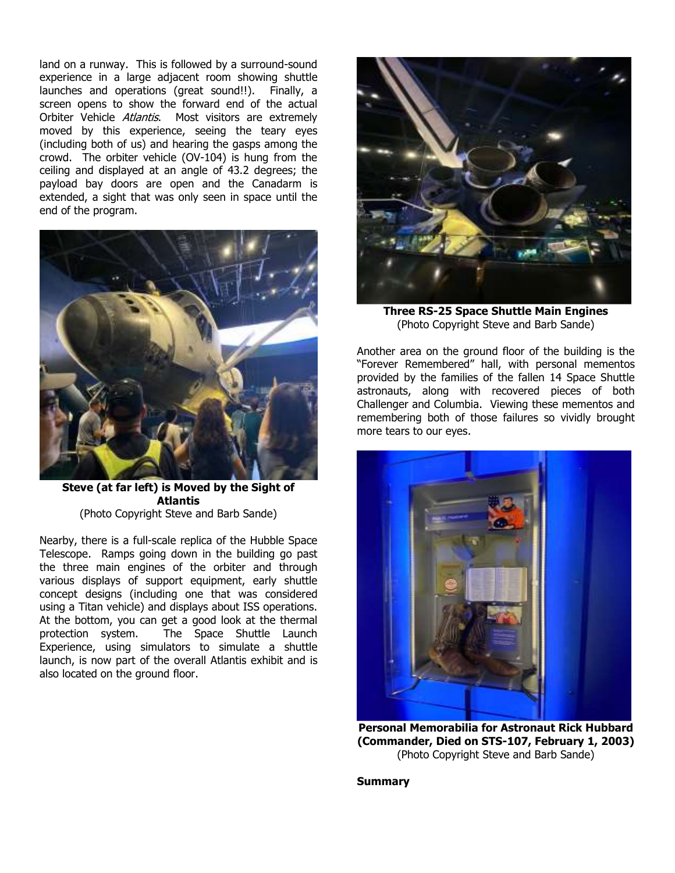land on a runway. This is followed by a surround-sound experience in a large adjacent room showing shuttle launches and operations (great sound!!). Finally, a screen opens to show the forward end of the actual Orbiter Vehicle Atlantis. Most visitors are extremely moved by this experience, seeing the teary eyes (including both of us) and hearing the gasps among the crowd. The orbiter vehicle (OV-104) is hung from the ceiling and displayed at an angle of 43.2 degrees; the payload bay doors are open and the Canadarm is extended, a sight that was only seen in space until the end of the program.



**Steve (at far left) is Moved by the Sight of Atlantis**  (Photo Copyright Steve and Barb Sande)

Nearby, there is a full-scale replica of the Hubble Space Telescope. Ramps going down in the building go past the three main engines of the orbiter and through various displays of support equipment, early shuttle concept designs (including one that was considered using a Titan vehicle) and displays about ISS operations. At the bottom, you can get a good look at the thermal protection system. The Space Shuttle Launch Experience, using simulators to simulate a shuttle launch, is now part of the overall Atlantis exhibit and is also located on the ground floor.



**Three RS-25 Space Shuttle Main Engines**  (Photo Copyright Steve and Barb Sande)

Another area on the ground floor of the building is the "Forever Remembered" hall, with personal mementos provided by the families of the fallen 14 Space Shuttle astronauts, along with recovered pieces of both Challenger and Columbia. Viewing these mementos and remembering both of those failures so vividly brought more tears to our eyes.



**Personal Memorabilia for Astronaut Rick Hubbard (Commander, Died on STS-107, February 1, 2003)**  (Photo Copyright Steve and Barb Sande)

**Summary**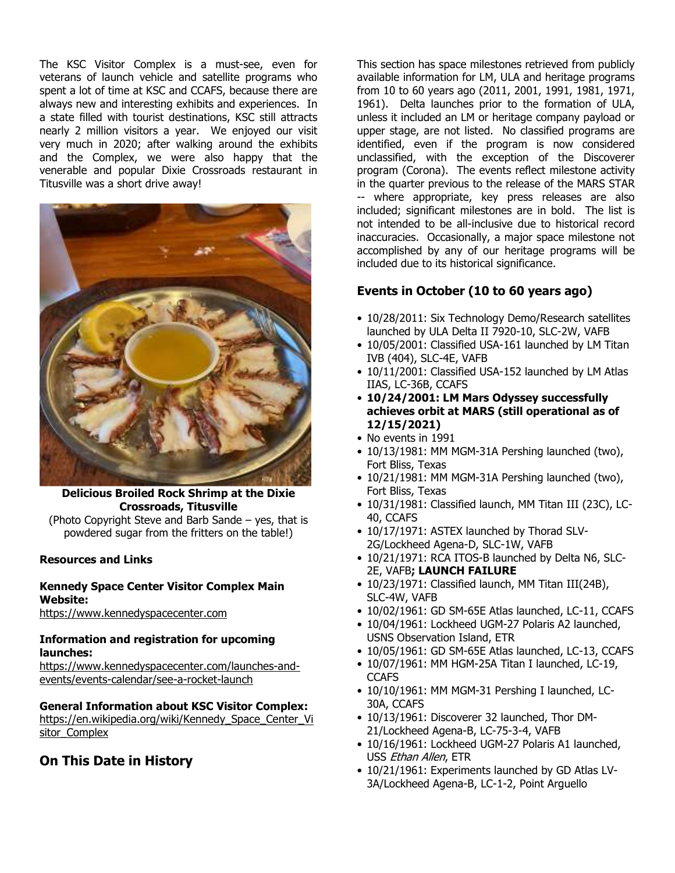The KSC Visitor Complex is a must-see, even for veterans of launch vehicle and satellite programs who spent a lot of time at KSC and CCAFS, because there are always new and interesting exhibits and experiences. In a state filled with tourist destinations, KSC still attracts nearly 2 million visitors a year. We enjoyed our visit very much in 2020; after walking around the exhibits and the Complex, we were also happy that the venerable and popular Dixie Crossroads restaurant in Titusville was a short drive away!



# **Delicious Broiled Rock Shrimp at the Dixie Crossroads, Titusville**

(Photo Copyright Steve and Barb Sande – yes, that is powdered sugar from the fritters on the table!)

### **Resources and Links**

#### **Kennedy Space Center Visitor Complex Main Website:**

https://www.kennedyspacecenter.com

### **Information and registration for upcoming launches:**

https://www.kennedyspacecenter.com/launches-andevents/events-calendar/see-a-rocket-launch

### **General Information about KSC Visitor Complex:**

https://en.wikipedia.org/wiki/Kennedy\_Space\_Center\_Vi sitor\_Complex

## **On This Date in History**

This section has space milestones retrieved from publicly available information for LM, ULA and heritage programs from 10 to 60 years ago (2011, 2001, 1991, 1981, 1971, 1961). Delta launches prior to the formation of ULA, unless it included an LM or heritage company payload or upper stage, are not listed. No classified programs are identified, even if the program is now considered unclassified, with the exception of the Discoverer program (Corona). The events reflect milestone activity in the quarter previous to the release of the MARS STAR -- where appropriate, key press releases are also included; significant milestones are in bold. The list is not intended to be all-inclusive due to historical record inaccuracies. Occasionally, a major space milestone not accomplished by any of our heritage programs will be included due to its historical significance.

## **Events in October (10 to 60 years ago)**

- 10/28/2011: Six Technology Demo/Research satellites launched by ULA Delta II 7920-10, SLC-2W, VAFB
- 10/05/2001: Classified USA-161 launched by LM Titan IVB (404), SLC-4E, VAFB
- 10/11/2001: Classified USA-152 launched by LM Atlas IIAS, LC-36B, CCAFS
- **10/24/2001: LM Mars Odyssey successfully achieves orbit at MARS (still operational as of 12/15/2021)**
- No events in 1991
- 10/13/1981: MM MGM-31A Pershing launched (two), Fort Bliss, Texas
- 10/21/1981: MM MGM-31A Pershing launched (two), Fort Bliss, Texas
- 10/31/1981: Classified launch, MM Titan III (23C), LC-40, CCAFS
- 10/17/1971: ASTEX launched by Thorad SLV-2G/Lockheed Agena-D, SLC-1W, VAFB
- 10/21/1971: RCA ITOS-B launched by Delta N6, SLC-2E, VAFB**; LAUNCH FAILURE**
- 10/23/1971: Classified launch, MM Titan III(24B), SLC-4W, VAFB
- 10/02/1961: GD SM-65E Atlas launched, LC-11, CCAFS
- 10/04/1961: Lockheed UGM-27 Polaris A2 launched, USNS Observation Island, ETR
- 10/05/1961: GD SM-65E Atlas launched, LC-13, CCAFS
- 10/07/1961: MM HGM-25A Titan I launched, LC-19, **CCAFS**
- 10/10/1961: MM MGM-31 Pershing I launched, LC-30A, CCAFS
- 10/13/1961: Discoverer 32 launched, Thor DM-21/Lockheed Agena-B, LC-75-3-4, VAFB
- 10/16/1961: Lockheed UGM-27 Polaris A1 launched, USS Ethan Allen, ETR
- 10/21/1961: Experiments launched by GD Atlas LV-3A/Lockheed Agena-B, LC-1-2, Point Arguello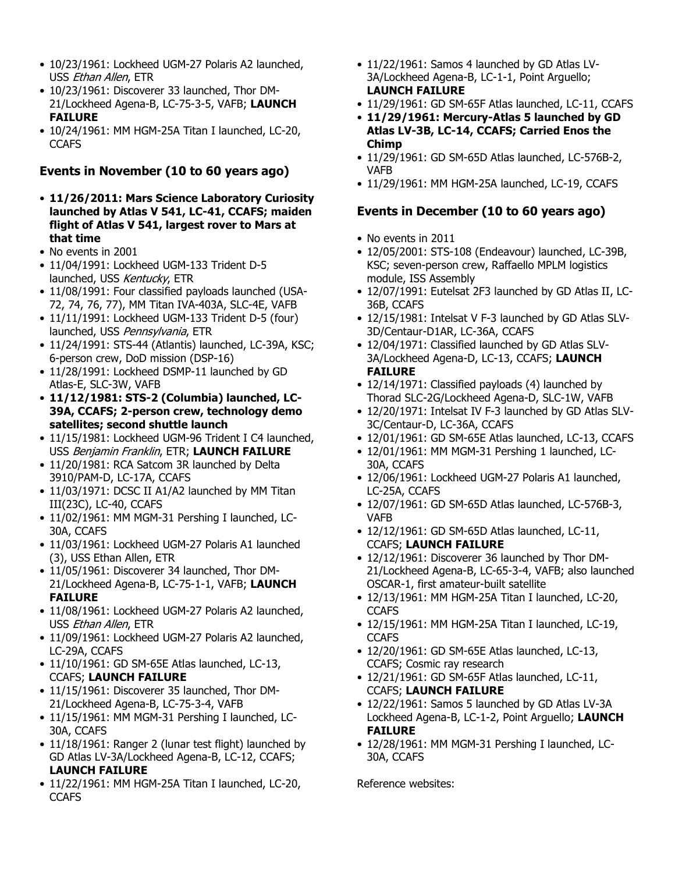- 10/23/1961: Lockheed UGM-27 Polaris A2 launched, USS Ethan Allen, ETR
- 10/23/1961: Discoverer 33 launched, Thor DM-21/Lockheed Agena-B, LC-75-3-5, VAFB; **LAUNCH FAILURE**
- 10/24/1961: MM HGM-25A Titan I launched, LC-20, **CCAFS**

# **Events in November (10 to 60 years ago)**

- **11/26/2011: Mars Science Laboratory Curiosity launched by Atlas V 541, LC-41, CCAFS; maiden flight of Atlas V 541, largest rover to Mars at that time**
- No events in 2001
- 11/04/1991: Lockheed UGM-133 Trident D-5 launched, USS Kentucky, ETR
- 11/08/1991: Four classified payloads launched (USA-72, 74, 76, 77), MM Titan IVA-403A, SLC-4E, VAFB
- 11/11/1991: Lockheed UGM-133 Trident D-5 (four) launched, USS Pennsylvania, ETR
- 11/24/1991: STS-44 (Atlantis) launched, LC-39A, KSC; 6-person crew, DoD mission (DSP-16)
- 11/28/1991: Lockheed DSMP-11 launched by GD Atlas-E, SLC-3W, VAFB
- **11/12/1981: STS-2 (Columbia) launched, LC-39A, CCAFS; 2-person crew, technology demo satellites; second shuttle launch**
- 11/15/1981: Lockheed UGM-96 Trident I C4 launched, USS Benjamin Franklin, ETR; **LAUNCH FAILURE**
- 11/20/1981: RCA Satcom 3R launched by Delta 3910/PAM-D, LC-17A, CCAFS
- 11/03/1971: DCSC II A1/A2 launched by MM Titan III(23C), LC-40, CCAFS
- 11/02/1961: MM MGM-31 Pershing I launched, LC-30A, CCAFS
- 11/03/1961: Lockheed UGM-27 Polaris A1 launched (3), USS Ethan Allen, ETR
- 11/05/1961: Discoverer 34 launched, Thor DM-21/Lockheed Agena-B, LC-75-1-1, VAFB; **LAUNCH FAILURE**
- 11/08/1961: Lockheed UGM-27 Polaris A2 launched, USS Ethan Allen, ETR
- 11/09/1961: Lockheed UGM-27 Polaris A2 launched, LC-29A, CCAFS
- 11/10/1961: GD SM-65E Atlas launched, LC-13, CCAFS; **LAUNCH FAILURE**
- 11/15/1961: Discoverer 35 launched, Thor DM-21/Lockheed Agena-B, LC-75-3-4, VAFB
- 11/15/1961: MM MGM-31 Pershing I launched, LC-30A, CCAFS
- 11/18/1961: Ranger 2 (lunar test flight) launched by GD Atlas LV-3A/Lockheed Agena-B, LC-12, CCAFS; **LAUNCH FAILURE**
- 11/22/1961: MM HGM-25A Titan I launched, LC-20, **CCAFS**
- 11/22/1961: Samos 4 launched by GD Atlas LV-3A/Lockheed Agena-B, LC-1-1, Point Arguello; **LAUNCH FAILURE**
- 11/29/1961: GD SM-65F Atlas launched, LC-11, CCAFS
- **11/29/1961: Mercury-Atlas 5 launched by GD Atlas LV-3B, LC-14, CCAFS; Carried Enos the Chimp**
- 11/29/1961: GD SM-65D Atlas launched, LC-576B-2, VAFB
- 11/29/1961: MM HGM-25A launched, LC-19, CCAFS

# **Events in December (10 to 60 years ago)**

- No events in 2011
- 12/05/2001: STS-108 (Endeavour) launched, LC-39B, KSC; seven-person crew, Raffaello MPLM logistics module, ISS Assembly
- 12/07/1991: Eutelsat 2F3 launched by GD Atlas II, LC-36B, CCAFS
- 12/15/1981: Intelsat V F-3 launched by GD Atlas SLV-3D/Centaur-D1AR, LC-36A, CCAFS
- 12/04/1971: Classified launched by GD Atlas SLV-3A/Lockheed Agena-D, LC-13, CCAFS; **LAUNCH FAILURE**
- 12/14/1971: Classified payloads (4) launched by Thorad SLC-2G/Lockheed Agena-D, SLC-1W, VAFB
- 12/20/1971: Intelsat IV F-3 launched by GD Atlas SLV-3C/Centaur-D, LC-36A, CCAFS
- 12/01/1961: GD SM-65E Atlas launched, LC-13, CCAFS
- 12/01/1961: MM MGM-31 Pershing 1 launched, LC-30A, CCAFS
- 12/06/1961: Lockheed UGM-27 Polaris A1 launched, LC-25A, CCAFS
- 12/07/1961: GD SM-65D Atlas launched, LC-576B-3, VAFB
- 12/12/1961: GD SM-65D Atlas launched, LC-11, CCAFS; **LAUNCH FAILURE**
- 12/12/1961: Discoverer 36 launched by Thor DM-21/Lockheed Agena-B, LC-65-3-4, VAFB; also launched OSCAR-1, first amateur-built satellite
- 12/13/1961: MM HGM-25A Titan I launched, LC-20, **CCAFS**
- 12/15/1961: MM HGM-25A Titan I launched, LC-19, **CCAFS**
- 12/20/1961: GD SM-65E Atlas launched, LC-13, CCAFS; Cosmic ray research
- 12/21/1961: GD SM-65F Atlas launched, LC-11, CCAFS; **LAUNCH FAILURE**
- 12/22/1961: Samos 5 launched by GD Atlas LV-3A Lockheed Agena-B, LC-1-2, Point Arguello; **LAUNCH FAILURE**
- 12/28/1961: MM MGM-31 Pershing I launched, LC-30A, CCAFS

Reference websites: